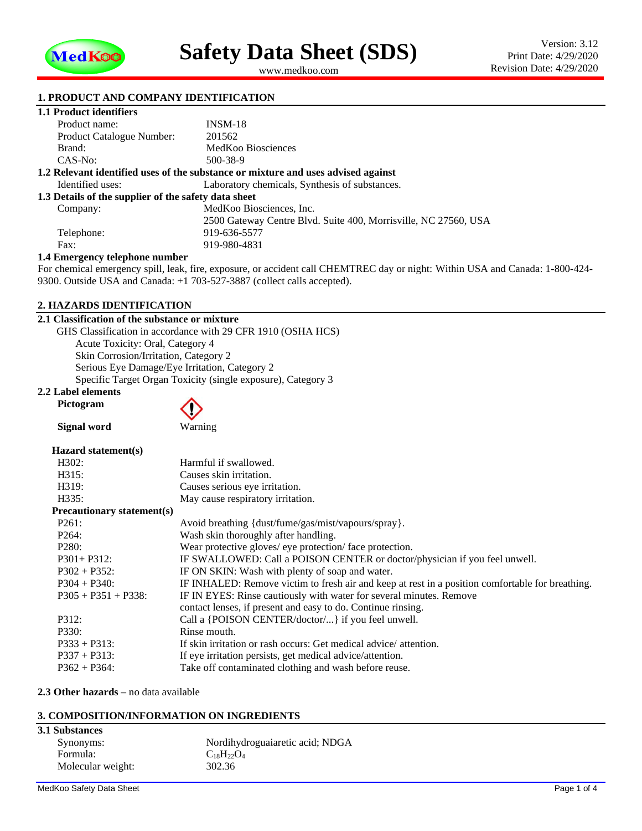

<span id="page-0-1"></span><span id="page-0-0"></span>www.medkoo.com

## **1. PRODUCT AND COMPANY IDENTIFICATION**

## **1.1 Product identifiers**

| Product name:                                                                     | $INSM-18$                                                       |  |  |  |
|-----------------------------------------------------------------------------------|-----------------------------------------------------------------|--|--|--|
| <b>Product Catalogue Number:</b>                                                  | 201562                                                          |  |  |  |
| Brand:                                                                            | MedKoo Biosciences                                              |  |  |  |
| $CAS-No:$                                                                         | 500-38-9                                                        |  |  |  |
| 1.2 Relevant identified uses of the substance or mixture and uses advised against |                                                                 |  |  |  |
| Identified uses:                                                                  | Laboratory chemicals, Synthesis of substances.                  |  |  |  |
| 1.3 Details of the supplier of the safety data sheet                              |                                                                 |  |  |  |
| Company:                                                                          | MedKoo Biosciences, Inc.                                        |  |  |  |
|                                                                                   | 2500 Gateway Centre Blvd. Suite 400, Morrisville, NC 27560, USA |  |  |  |
| Telephone:                                                                        | 919-636-5577                                                    |  |  |  |
| Fax:                                                                              | 919-980-4831                                                    |  |  |  |
| 1.4 Emergency telephone number                                                    |                                                                 |  |  |  |

For chemical emergency spill, leak, fire, exposure, or accident call CHEMTREC day or night: Within USA and Canada: 1-800-424- 9300. Outside USA and Canada: +1 703-527-3887 (collect calls accepted).

### **2. HAZARDS IDENTIFICATION**

#### **2.1 Classification of the substance or mixture**

GHS Classification in accordance with 29 CFR 1910 (OSHA HCS) Acute Toxicity: Oral, Category 4 Skin Corrosion/Irritation, Category 2 Serious Eye Damage/Eye Irritation, Category 2 Specific Target Organ Toxicity (single exposure), Category 3

#### **2.2 Label elements Pictogram**

**Signal word** Warning

### **Hazard statement(s)**

| H302:                             | Harmful if swallowed.                                                                            |
|-----------------------------------|--------------------------------------------------------------------------------------------------|
| H315:                             | Causes skin irritation.                                                                          |
| H319:                             | Causes serious eye irritation.                                                                   |
| H335:                             | May cause respiratory irritation.                                                                |
| <b>Precautionary statement(s)</b> |                                                                                                  |
| P261:                             | Avoid breathing {dust/fume/gas/mist/vapours/spray}.                                              |
| P <sub>264</sub> :                | Wash skin thoroughly after handling.                                                             |
| P <sub>280</sub> :                | Wear protective gloves/ eye protection/ face protection.                                         |
| $P301 + P312$ :                   | IF SWALLOWED: Call a POISON CENTER or doctor/physician if you feel unwell.                       |
| $P302 + P352$ :                   | IF ON SKIN: Wash with plenty of soap and water.                                                  |
| $P304 + P340$ :                   | IF INHALED: Remove victim to fresh air and keep at rest in a position comfortable for breathing. |
| $P305 + P351 + P338$ :            | IF IN EYES: Rinse cautiously with water for several minutes. Remove                              |
|                                   | contact lenses, if present and easy to do. Continue rinsing.                                     |
| P312:                             | Call a {POISON CENTER/doctor/} if you feel unwell.                                               |
| P330:                             | Rinse mouth.                                                                                     |
| $P333 + P313$ :                   | If skin irritation or rash occurs: Get medical advice/attention.                                 |
| $P337 + P313$ :                   | If eye irritation persists, get medical advice/attention.                                        |
| $P362 + P364$ :                   | Take off contaminated clothing and wash before reuse.                                            |
|                                   |                                                                                                  |

**2.3 Other hazards –** no data available

## **3. COMPOSITION/INFORMATION ON INGREDIENTS**

## **3.1 Substances**

| Nordihydroguaiaretic acid; NDGA |  |
|---------------------------------|--|
| $C_{18}H_{22}O_4$               |  |
| 302.36                          |  |
|                                 |  |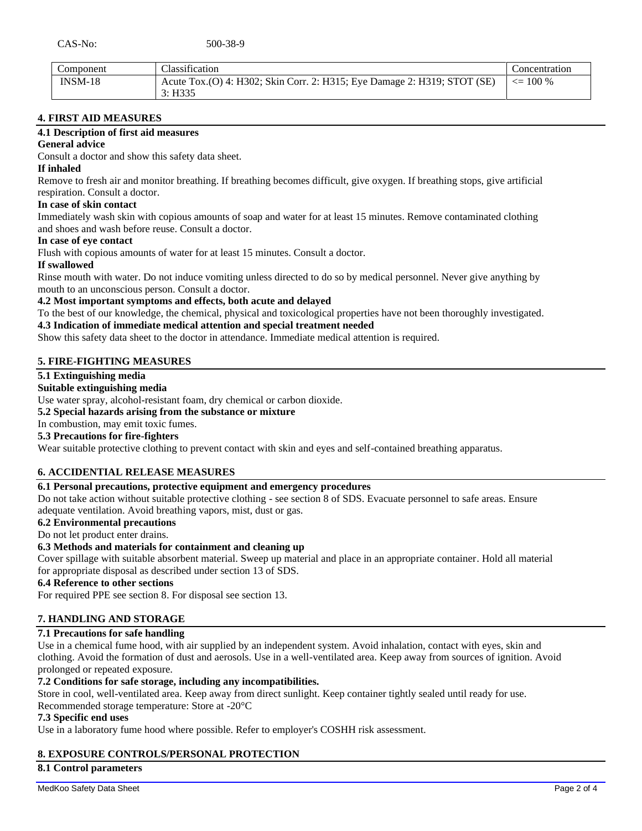| Component | Classification                                                           | Concentration      |
|-----------|--------------------------------------------------------------------------|--------------------|
| $INSM-18$ | Acute Tox.(O) 4: H302; Skin Corr. 2: H315; Eye Damage 2: H319; STOT (SE) | $\epsilon = 100\%$ |
|           | 3: H335                                                                  |                    |

## **4. FIRST AID MEASURES**

### **4.1 Description of first aid measures**

## **General advice**

Consult a doctor and show this safety data sheet.

## **If inhaled**

Remove to fresh air and monitor breathing. If breathing becomes difficult, give oxygen. If breathing stops, give artificial respiration. Consult a doctor.

#### **In case of skin contact**

Immediately wash skin with copious amounts of soap and water for at least 15 minutes. Remove contaminated clothing and shoes and wash before reuse. Consult a doctor.

## **In case of eye contact**

Flush with copious amounts of water for at least 15 minutes. Consult a doctor.

#### **If swallowed**

Rinse mouth with water. Do not induce vomiting unless directed to do so by medical personnel. Never give anything by mouth to an unconscious person. Consult a doctor.

## **4.2 Most important symptoms and effects, both acute and delayed**

To the best of our knowledge, the chemical, physical and toxicological properties have not been thoroughly investigated.

### **4.3 Indication of immediate medical attention and special treatment needed**

Show this safety data sheet to the doctor in attendance. Immediate medical attention is required.

## **5. FIRE-FIGHTING MEASURES**

## **5.1 Extinguishing media**

### **Suitable extinguishing media**

Use water spray, alcohol-resistant foam, dry chemical or carbon dioxide.

**5.2 Special hazards arising from the substance or mixture**

In combustion, may emit toxic fumes.

## **5.3 Precautions for fire-fighters**

Wear suitable protective clothing to prevent contact with skin and eyes and self-contained breathing apparatus.

## **6. ACCIDENTIAL RELEASE MEASURES**

## **6.1 Personal precautions, protective equipment and emergency procedures**

Do not take action without suitable protective clothing - see section 8 of SDS. Evacuate personnel to safe areas. Ensure adequate ventilation. Avoid breathing vapors, mist, dust or gas.

## **6.2 Environmental precautions**

#### Do not let product enter drains.

#### **6.3 Methods and materials for containment and cleaning up**

Cover spillage with suitable absorbent material. Sweep up material and place in an appropriate container. Hold all material for appropriate disposal as described under section 13 of SDS.

#### **6.4 Reference to other sections**

For required PPE see section 8. For disposal see section 13.

## **7. HANDLING AND STORAGE**

#### **7.1 Precautions for safe handling**

Use in a chemical fume hood, with air supplied by an independent system. Avoid inhalation, contact with eyes, skin and clothing. Avoid the formation of dust and aerosols. Use in a well-ventilated area. Keep away from sources of ignition. Avoid prolonged or repeated exposure.

## **7.2 Conditions for safe storage, including any incompatibilities.**

Store in cool, well-ventilated area. Keep away from direct sunlight. Keep container tightly sealed until ready for use. Recommended storage temperature: Store at -20°C

#### **7.3 Specific end uses**

Use in a laboratory fume hood where possible. Refer to employer's COSHH risk assessment.

## **8. EXPOSURE CONTROLS/PERSONAL PROTECTION**

**8.1 Control parameters**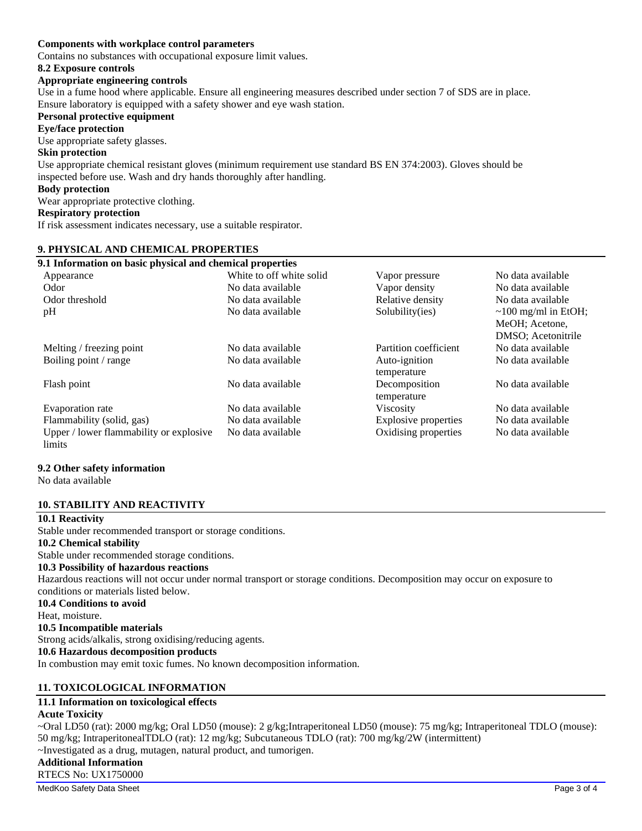## **Components with workplace control parameters**

Contains no substances with occupational exposure limit values.

#### **8.2 Exposure controls**

#### **Appropriate engineering controls**

Use in a fume hood where applicable. Ensure all engineering measures described under section 7 of SDS are in place. Ensure laboratory is equipped with a safety shower and eye wash station.

## **Personal protective equipment**

**Eye/face protection**

Use appropriate safety glasses.

#### **Skin protection**

Use appropriate chemical resistant gloves (minimum requirement use standard BS EN 374:2003). Gloves should be inspected before use. Wash and dry hands thoroughly after handling.

## **Body protection**

Wear appropriate protective clothing.

#### **Respiratory protection**

If risk assessment indicates necessary, use a suitable respirator.

### **9. PHYSICAL AND CHEMICAL PROPERTIES**

| 9.1 Information on basic physical and chemical properties |                          |                              |                                                                   |
|-----------------------------------------------------------|--------------------------|------------------------------|-------------------------------------------------------------------|
| Appearance                                                | White to off white solid | Vapor pressure               | No data available                                                 |
| Odor                                                      | No data available        | Vapor density                | No data available                                                 |
| Odor threshold                                            | No data available        | Relative density             | No data available                                                 |
| pH                                                        | No data available        | Solubility(ies)              | $\sim$ 100 mg/ml in EtOH;<br>MeOH; Acetone,<br>DMSO; Acetonitrile |
| Melting / freezing point                                  | No data available        | Partition coefficient        | No data available                                                 |
| Boiling point / range                                     | No data available        | Auto-ignition<br>temperature | No data available                                                 |
| Flash point                                               | No data available        | Decomposition<br>temperature | No data available                                                 |
| Evaporation rate                                          | No data available        | <b>Viscosity</b>             | No data available                                                 |
| Flammability (solid, gas)                                 | No data available        | Explosive properties         | No data available                                                 |
| Upper / lower flammability or explosive<br>limits         | No data available        | Oxidising properties         | No data available                                                 |

#### **9.2 Other safety information**

No data available

## **10. STABILITY AND REACTIVITY**

## **10.1 Reactivity**

Stable under recommended transport or storage conditions. **10.2 Chemical stability** Stable under recommended storage conditions. **10.3 Possibility of hazardous reactions** Hazardous reactions will not occur under normal transport or storage conditions. Decomposition may occur on exposure to conditions or materials listed below. **10.4 Conditions to avoid** Heat, moisture. **10.5 Incompatible materials** Strong acids/alkalis, strong oxidising/reducing agents. **10.6 Hazardous decomposition products** In combustion may emit toxic fumes. No known decomposition information.

## **11. TOXICOLOGICAL INFORMATION**

# **11.1 Information on toxicological effects**

## **Acute Toxicity**

~Oral LD50 (rat): 2000 mg/kg; Oral LD50 (mouse): 2 g/kg;Intraperitoneal LD50 (mouse): 75 mg/kg; Intraperitoneal TDLO (mouse): 50 mg/kg; IntraperitonealTDLO (rat): 12 mg/kg; Subcutaneous TDLO (rat): 700 mg/kg/2W (intermittent) ~Investigated as a drug, mutagen, natural product, and tumorigen. **Additional Information** RTECS No: UX1750000